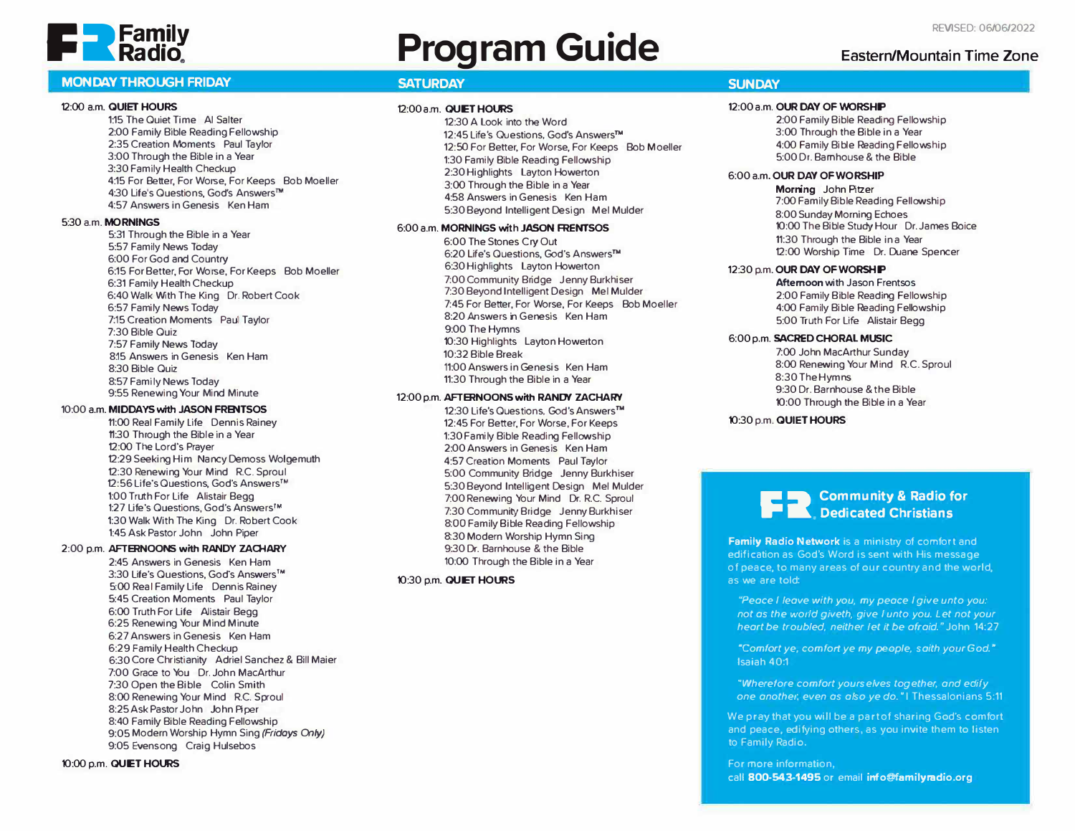

# **P. Pamily Program Guide Revised: 06/06/2022**

# **MONDAY THROUGH FRIDAY SATURDAY SATURDAY SUNDAY SUNDAY SUNDAY**

# 12:00 a.m. **QUIET HOURS**

1:15 The Quiet Time Al Salter 2:00 Family Bible Reading Fellowship 2:35 Creation Moments Paul Taylor 3:00 Through the Bible in a Year 3:30 Family Health Checkup 4:15 For Better, For Worse, For Keeps Bob Moeller 4:30 Life's Questions, God's Answers™ 4:57 Answers in Genesis Ken Ham

# 5:30 a.m. **MORNINGS**

5:31 Through the Bible in a Year 5:57 Family News Today 6:00 For God and Country 6:15 For Better, For Worse, For Keeps Bob Moeller 6:31 Family Health Checkup 6:40 Walk With The King Dr. Robert Cook 6:57 Family News Today 7:15 Creation Moments Paul Taylor 7:30 Bible Quiz 7:57 Family News Today 8:15 Answers in Genesis Ken Ham 8:30 Bible Quiz 8:57 Family News Today 9:55 Renewing Your Mind Minute

# 10:00 a.m. **MIDDAYS with JASON FRSIITSOS**

11:00 Real Family Life Dennis Rainey 11:30 Through the Bible in a Year 12:00 The Lord's Prayer 12:29 Seeking Him Nancy Demoss Wolgemuth 12:30 Renewing Your Mind R.C. Sproul 12:56 Life's Questions, God's Answers™ 1:00 Truth For life Alistair Begg 1:27 life's Questions, God's Answers™ 1:30 Walk With The King Dr. Robert Cook 1:45 Ask Pastor John John Piper

## 2:00 p.m. **AFTERNOONS with RANDY ZAOIARY**

2:45 Answers in Genesis Ken Ham 3:30 life's Questions, God's Answers **TM**  5:00 Real Family life Dennis Rainey 5:45 Creation Moments Paul Taylor 6:00 Truth For life Alistair Begg 6:25 Renewing Your Mind Minute 6:27 Answers in Genesis Ken Ham 6:29 Family Health Checkup 6:30 Core Christianity Adriel Sanchez & Bill Maier 7:00 Grace to You Dr. John MacArthur 7:30 Open the Bible Colin Smith 8:00 Renewing Your Mind R.C. Sproul 8:25 Ask Pastor John John Piper 8:40 Family Bible Reading Fellowship 9:05 Modern Worship Hymn Sing *(Fridays 01/y)*  9:05 Evensong Craig Hulsebos

# 10:00 p.m. **QUIET HOURS**

### 12:00am. **QUET HOURS**

12:30 A Look into the Word 12:45 Life's Questions. God's Answers™ 12:50 For Better, For Worse, For Keeps Bob Moeller 1:30 Family Bible Reading Fellowship 2:30 Highlights Layton Howerton 3:00 Through the Bible in a Year 4:58 Answers in Genesis Ken Ham 5:30 Beyond Intelligent Design Mel Mulder

# 6:00 a.m. **MORNINGS** with JASON **FRENTSOS**

6:00 The Stones Cry Out 6:20 Life's Questions, God's Answers™ 6:30 Highlights Layton Howerton 7:00 Community Bridge Jenny Burkhiser 7:30 Beyond Intelligent Design Mel Mulder 7:45 For Better, For Worse, For Keeps Bob Moeller 8:20 Answers in Genesis Ken Ham 9:00 The Hymns 10:30 Highlights Layton Howerton 10:32 Bible Break 11:00 Answers in Genesis Ken Ham 11:30 Through the Bible in a Year

# 12:00 p.m. AFTERNOONS with RANDY ZACHARY

12:30 Life's Questions, God's Answers™ 12:45 For Better, For Worse, For Keeps 1:30 Family Bible Reading Fellowship 2:00 Answers in Genesis Ken Ham 4:57 Creation Moments Paul Taylor 5:00 Community Bridge Jenny Burkhiser 5:30 Beyond Intelligent Design Mel Mulder 7:00 Renewing Your Mind Dr. R.C. Sproul 7:30 Community Bridge Jenny Burkhiser 8:00 Family Bible Reading Fellowship 8:30 Modern Worship Hymn Sing 9:30 Dr. Barnhouse & the Bible 10:00 Through the Bible in a Year

### -0:30 p.m. **QUET HOURS**

# 12:00 a.m. **OUR DAY OF WORSHP**

2:00 Family Bible Reading Fellowship 3:00 Through the Bible in a Year 4:00 Family Bible Reading Fellowship 5:00 Dr. Barnhouse & the Bible

# 6:00 a.m. **OUR DAY OF WORSHIP**

**Morning** John Pitzer 7:00 Family Bible Reading Fellowship 8:00 Sunday Morning Echoes -0:00 The Bible Study Hour Dr.James Boice 11:30 Through the Bible in a Year 12:00 Worship Time Dr. Duane Spencer

# 12:30 p.m. **OUR DAY OF WORSHP**

**Afternoon** with Jason Frentsos 2:00 Family Bible Reading Fellowship 4:00 Family Bible Reading Fellowship 5:00 Truth For life Alistair Begg

# 6:00 p.m. SACRED **CHORAL MUSIC**

7:00 John MacArthur Sunday 8:00 Renewing Your Mind R.C. Sproul 8:30 The Hymns 9:30 Dr. Barnhouse & the Bible -0:00 Through the Bible in a Year

-0:30 p.m. **QUIET HOURS**

# **Community & Radio for P •• Dedicated Christians**

**Family Radio Network** is a ministry of comfort and edification as God's Word is sent with His message of peace, to many areas of our country and the world, as we are told:

*"Peace I leave with you, my peace I give unto you: not as the world giveth, give I unto you. Let not your heart be troubled, neither Jet it be afraid.•* John 14:27

*·comfort ye, comfort ye my people, saith your God.•*  Isaiah 40:1

*"Wherefore comfort yourselves together. and edify one another. even as also ye do.·* 1 Thessalonians 5:11

We pray that you will be a part of sharing God's comfort and peace, edifying others, as you invite them to listen to Family Radio.

For *more* information, call **800-543-1495** or email **info@familyradio.org** 

**Eastern/Mountain Time Zone**